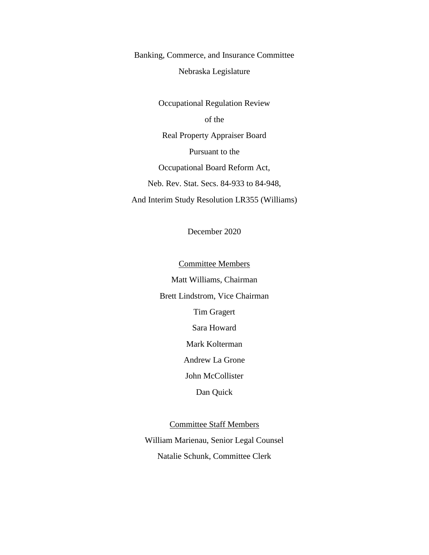Banking, Commerce, and Insurance Committee

Nebraska Legislature

Occupational Regulation Review of the Real Property Appraiser Board Pursuant to the Occupational Board Reform Act, Neb. Rev. Stat. Secs. 84-933 to 84-948, And Interim Study Resolution LR355 (Williams)

December 2020

Committee Members Matt Williams, Chairman Brett Lindstrom, Vice Chairman Tim Gragert Sara Howard Mark Kolterman Andrew La Grone John McCollister Dan Quick

Committee Staff Members William Marienau, Senior Legal Counsel Natalie Schunk, Committee Clerk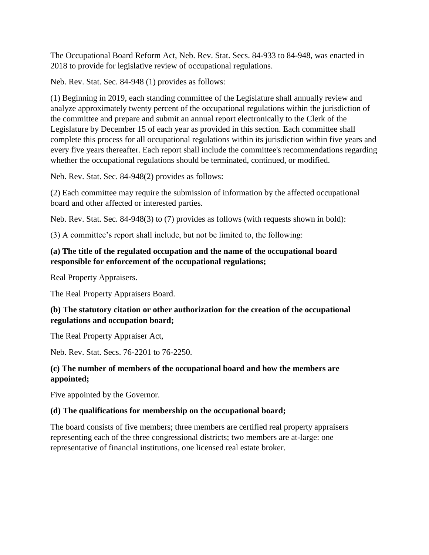The Occupational Board Reform Act, Neb. Rev. Stat. Secs. 84-933 to 84-948, was enacted in 2018 to provide for legislative review of occupational regulations.

Neb. Rev. Stat. Sec. 84-948 (1) provides as follows:

(1) Beginning in 2019, each standing committee of the Legislature shall annually review and analyze approximately twenty percent of the occupational regulations within the jurisdiction of the committee and prepare and submit an annual report electronically to the Clerk of the Legislature by December 15 of each year as provided in this section. Each committee shall complete this process for all occupational regulations within its jurisdiction within five years and every five years thereafter. Each report shall include the committee's recommendations regarding whether the occupational regulations should be terminated, continued, or modified.

Neb. Rev. Stat. Sec. 84-948(2) provides as follows:

(2) Each committee may require the submission of information by the affected occupational board and other affected or interested parties.

Neb. Rev. Stat. Sec. 84-948(3) to (7) provides as follows (with requests shown in bold):

(3) A committee's report shall include, but not be limited to, the following:

# **(a) The title of the regulated occupation and the name of the occupational board responsible for enforcement of the occupational regulations;**

Real Property Appraisers.

The Real Property Appraisers Board.

## **(b) The statutory citation or other authorization for the creation of the occupational regulations and occupation board;**

The Real Property Appraiser Act,

Neb. Rev. Stat. Secs. 76-2201 to 76-2250.

# **(c) The number of members of the occupational board and how the members are appointed;**

Five appointed by the Governor.

## **(d) The qualifications for membership on the occupational board;**

The board consists of five members; three members are certified real property appraisers representing each of the three congressional districts; two members are at-large: one representative of financial institutions, one licensed real estate broker.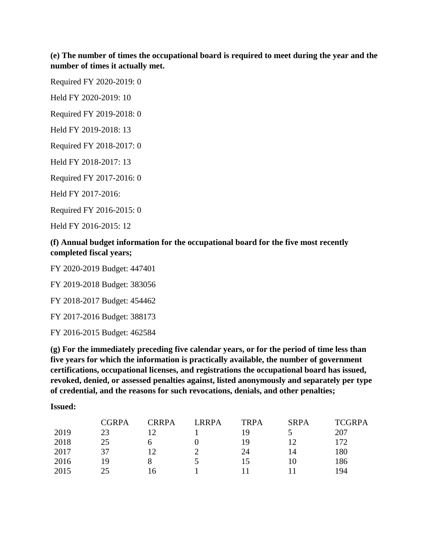## **(e) The number of times the occupational board is required to meet during the year and the number of times it actually met.**

Required FY 2020-2019: 0

Held FY 2020-2019: 10

Required FY 2019-2018: 0

Held FY 2019-2018: 13

Required FY 2018-2017: 0

Held FY 2018-2017: 13

Required FY 2017-2016: 0

Held FY 2017-2016:

Required FY 2016-2015: 0

Held FY 2016-2015: 12

### **(f) Annual budget information for the occupational board for the five most recently completed fiscal years;**

FY 2020-2019 Budget: 447401

FY 2019-2018 Budget: 383056

FY 2018-2017 Budget: 454462

FY 2017-2016 Budget: 388173

FY 2016-2015 Budget: 462584

**(g) For the immediately preceding five calendar years, or for the period of time less than five years for which the information is practically available, the number of government certifications, occupational licenses, and registrations the occupational board has issued, revoked, denied, or assessed penalties against, listed anonymously and separately per type of credential, and the reasons for such revocations, denials, and other penalties;**

#### **Issued:**

|      | <b>CGRPA</b> | <b>CRRPA</b> | <b>LRRPA</b> | <b>TRPA</b> | <b>SRPA</b> | <b>TCGRPA</b> |
|------|--------------|--------------|--------------|-------------|-------------|---------------|
| 2019 | 23           |              |              | 1 Q         |             | 207           |
| 2018 | 25           | h            |              | 19          |             | 172           |
| 2017 | 37           | 12           |              | 24          | 14          | 180           |
| 2016 | 19           |              |              | 15          |             | 186           |
| 2015 | 25           | 16           |              |             |             | 194           |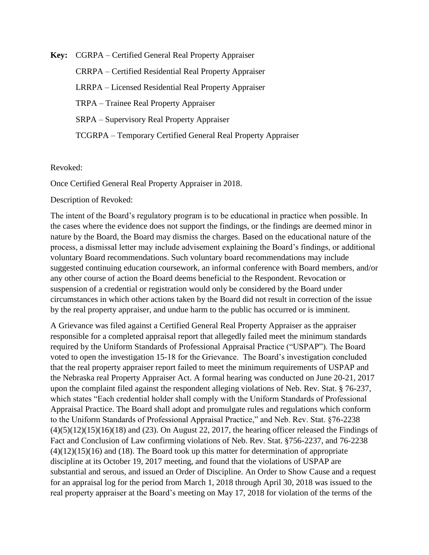**Key:** CGRPA – Certified General Real Property Appraiser CRRPA – Certified Residential Real Property Appraiser LRRPA – Licensed Residential Real Property Appraiser TRPA – Trainee Real Property Appraiser SRPA – Supervisory Real Property Appraiser TCGRPA – Temporary Certified General Real Property Appraiser

Revoked:

Once Certified General Real Property Appraiser in 2018.

Description of Revoked:

The intent of the Board's regulatory program is to be educational in practice when possible. In the cases where the evidence does not support the findings, or the findings are deemed minor in nature by the Board, the Board may dismiss the charges. Based on the educational nature of the process, a dismissal letter may include advisement explaining the Board's findings, or additional voluntary Board recommendations. Such voluntary board recommendations may include suggested continuing education coursework, an informal conference with Board members, and/or any other course of action the Board deems beneficial to the Respondent. Revocation or suspension of a credential or registration would only be considered by the Board under circumstances in which other actions taken by the Board did not result in correction of the issue by the real property appraiser, and undue harm to the public has occurred or is imminent.

A Grievance was filed against a Certified General Real Property Appraiser as the appraiser responsible for a completed appraisal report that allegedly failed meet the minimum standards required by the Uniform Standards of Professional Appraisal Practice ("USPAP"). The Board voted to open the investigation 15-18 for the Grievance. The Board's investigation concluded that the real property appraiser report failed to meet the minimum requirements of USPAP and the Nebraska real Property Appraiser Act. A formal hearing was conducted on June 20-21, 2017 upon the complaint filed against the respondent alleging violations of Neb. Rev. Stat. § 76-237, which states "Each credential holder shall comply with the Uniform Standards of Professional Appraisal Practice. The Board shall adopt and promulgate rules and regulations which conform to the Uniform Standards of Professional Appraisal Practice," and Neb. Rev. Stat. §76-2238  $(4)(5)(12)(15)(16)(18)$  and  $(23)$ . On August 22, 2017, the hearing officer released the Findings of Fact and Conclusion of Law confirming violations of Neb. Rev. Stat. §756-2237, and 76-2238  $(4)(12)(15)(16)$  and (18). The Board took up this matter for determination of appropriate discipline at its October 19, 2017 meeting, and found that the violations of USPAP are substantial and serous, and issued an Order of Discipline. An Order to Show Cause and a request for an appraisal log for the period from March 1, 2018 through April 30, 2018 was issued to the real property appraiser at the Board's meeting on May 17, 2018 for violation of the terms of the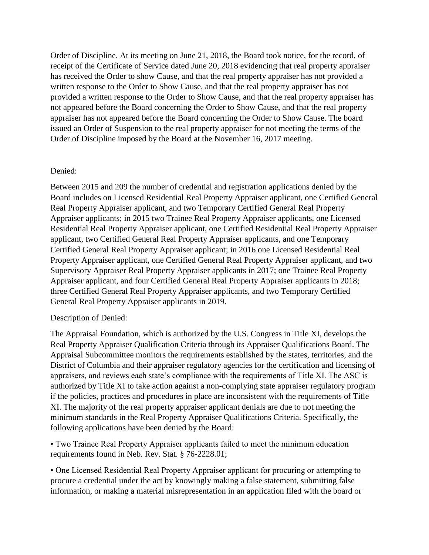Order of Discipline. At its meeting on June 21, 2018, the Board took notice, for the record, of receipt of the Certificate of Service dated June 20, 2018 evidencing that real property appraiser has received the Order to show Cause, and that the real property appraiser has not provided a written response to the Order to Show Cause, and that the real property appraiser has not provided a written response to the Order to Show Cause, and that the real property appraiser has not appeared before the Board concerning the Order to Show Cause, and that the real property appraiser has not appeared before the Board concerning the Order to Show Cause. The board issued an Order of Suspension to the real property appraiser for not meeting the terms of the Order of Discipline imposed by the Board at the November 16, 2017 meeting.

### Denied:

Between 2015 and 209 the number of credential and registration applications denied by the Board includes on Licensed Residential Real Property Appraiser applicant, one Certified General Real Property Appraiser applicant, and two Temporary Certified General Real Property Appraiser applicants; in 2015 two Trainee Real Property Appraiser applicants, one Licensed Residential Real Property Appraiser applicant, one Certified Residential Real Property Appraiser applicant, two Certified General Real Property Appraiser applicants, and one Temporary Certified General Real Property Appraiser applicant; in 2016 one Licensed Residential Real Property Appraiser applicant, one Certified General Real Property Appraiser applicant, and two Supervisory Appraiser Real Property Appraiser applicants in 2017; one Trainee Real Property Appraiser applicant, and four Certified General Real Property Appraiser applicants in 2018; three Certified General Real Property Appraiser applicants, and two Temporary Certified General Real Property Appraiser applicants in 2019.

### Description of Denied:

The Appraisal Foundation, which is authorized by the U.S. Congress in Title XI, develops the Real Property Appraiser Qualification Criteria through its Appraiser Qualifications Board. The Appraisal Subcommittee monitors the requirements established by the states, territories, and the District of Columbia and their appraiser regulatory agencies for the certification and licensing of appraisers, and reviews each state's compliance with the requirements of Title XI. The ASC is authorized by Title XI to take action against a non-complying state appraiser regulatory program if the policies, practices and procedures in place are inconsistent with the requirements of Title XI. The majority of the real property appraiser applicant denials are due to not meeting the minimum standards in the Real Property Appraiser Qualifications Criteria. Specifically, the following applications have been denied by the Board:

• Two Trainee Real Property Appraiser applicants failed to meet the minimum education requirements found in Neb. Rev. Stat. § 76-2228.01;

• One Licensed Residential Real Property Appraiser applicant for procuring or attempting to procure a credential under the act by knowingly making a false statement, submitting false information, or making a material misrepresentation in an application filed with the board or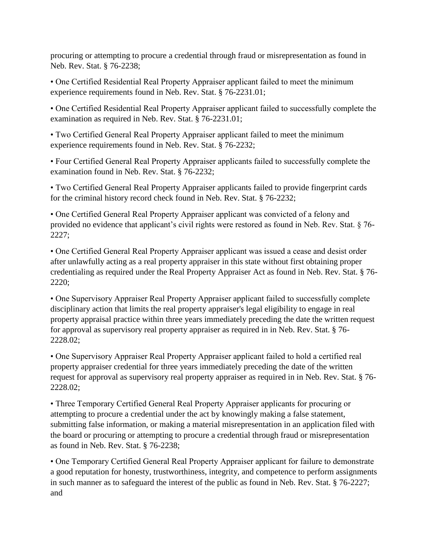procuring or attempting to procure a credential through fraud or misrepresentation as found in Neb. Rev. Stat. § 76-2238;

• One Certified Residential Real Property Appraiser applicant failed to meet the minimum experience requirements found in Neb. Rev. Stat. § 76-2231.01;

• One Certified Residential Real Property Appraiser applicant failed to successfully complete the examination as required in Neb. Rev. Stat. § 76-2231.01;

• Two Certified General Real Property Appraiser applicant failed to meet the minimum experience requirements found in Neb. Rev. Stat. § 76-2232;

• Four Certified General Real Property Appraiser applicants failed to successfully complete the examination found in Neb. Rev. Stat. § 76-2232;

• Two Certified General Real Property Appraiser applicants failed to provide fingerprint cards for the criminal history record check found in Neb. Rev. Stat. § 76-2232;

• One Certified General Real Property Appraiser applicant was convicted of a felony and provided no evidence that applicant's civil rights were restored as found in Neb. Rev. Stat. § 76- 2227;

• One Certified General Real Property Appraiser applicant was issued a cease and desist order after unlawfully acting as a real property appraiser in this state without first obtaining proper credentialing as required under the Real Property Appraiser Act as found in Neb. Rev. Stat. § 76- 2220;

• One Supervisory Appraiser Real Property Appraiser applicant failed to successfully complete disciplinary action that limits the real property appraiser's legal eligibility to engage in real property appraisal practice within three years immediately preceding the date the written request for approval as supervisory real property appraiser as required in in Neb. Rev. Stat. § 76- 2228.02;

• One Supervisory Appraiser Real Property Appraiser applicant failed to hold a certified real property appraiser credential for three years immediately preceding the date of the written request for approval as supervisory real property appraiser as required in in Neb. Rev. Stat. § 76- 2228.02;

• Three Temporary Certified General Real Property Appraiser applicants for procuring or attempting to procure a credential under the act by knowingly making a false statement, submitting false information, or making a material misrepresentation in an application filed with the board or procuring or attempting to procure a credential through fraud or misrepresentation as found in Neb. Rev. Stat. § 76-2238;

• One Temporary Certified General Real Property Appraiser applicant for failure to demonstrate a good reputation for honesty, trustworthiness, integrity, and competence to perform assignments in such manner as to safeguard the interest of the public as found in Neb. Rev. Stat. § 76-2227; and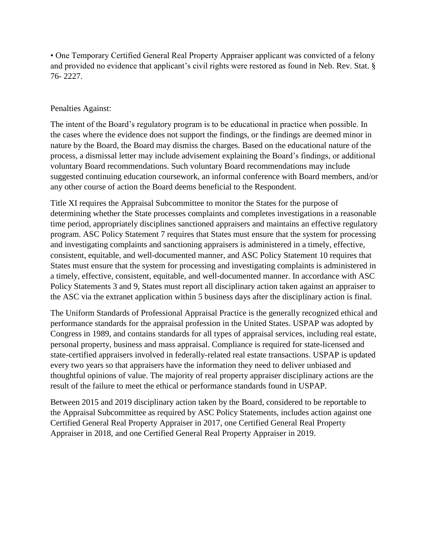• One Temporary Certified General Real Property Appraiser applicant was convicted of a felony and provided no evidence that applicant's civil rights were restored as found in Neb. Rev. Stat. § 76- 2227.

### Penalties Against:

The intent of the Board's regulatory program is to be educational in practice when possible. In the cases where the evidence does not support the findings, or the findings are deemed minor in nature by the Board, the Board may dismiss the charges. Based on the educational nature of the process, a dismissal letter may include advisement explaining the Board's findings, or additional voluntary Board recommendations. Such voluntary Board recommendations may include suggested continuing education coursework, an informal conference with Board members, and/or any other course of action the Board deems beneficial to the Respondent.

Title XI requires the Appraisal Subcommittee to monitor the States for the purpose of determining whether the State processes complaints and completes investigations in a reasonable time period, appropriately disciplines sanctioned appraisers and maintains an effective regulatory program. ASC Policy Statement 7 requires that States must ensure that the system for processing and investigating complaints and sanctioning appraisers is administered in a timely, effective, consistent, equitable, and well-documented manner, and ASC Policy Statement 10 requires that States must ensure that the system for processing and investigating complaints is administered in a timely, effective, consistent, equitable, and well-documented manner. In accordance with ASC Policy Statements 3 and 9, States must report all disciplinary action taken against an appraiser to the ASC via the extranet application within 5 business days after the disciplinary action is final.

The Uniform Standards of Professional Appraisal Practice is the generally recognized ethical and performance standards for the appraisal profession in the United States. USPAP was adopted by Congress in 1989, and contains standards for all types of appraisal services, including real estate, personal property, business and mass appraisal. Compliance is required for state-licensed and state-certified appraisers involved in federally-related real estate transactions. USPAP is updated every two years so that appraisers have the information they need to deliver unbiased and thoughtful opinions of value. The majority of real property appraiser disciplinary actions are the result of the failure to meet the ethical or performance standards found in USPAP.

Between 2015 and 2019 disciplinary action taken by the Board, considered to be reportable to the Appraisal Subcommittee as required by ASC Policy Statements, includes action against one Certified General Real Property Appraiser in 2017, one Certified General Real Property Appraiser in 2018, and one Certified General Real Property Appraiser in 2019.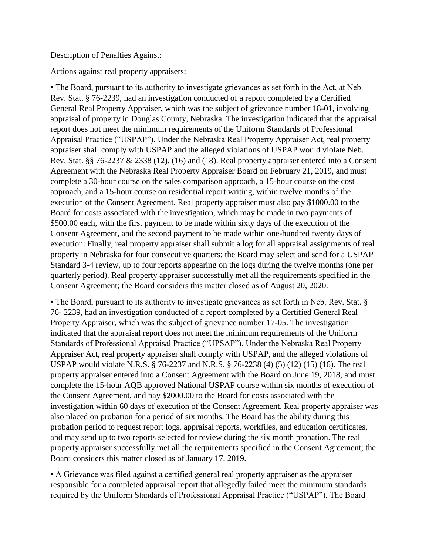Description of Penalties Against:

Actions against real property appraisers:

• The Board, pursuant to its authority to investigate grievances as set forth in the Act, at Neb. Rev. Stat. § 76-2239, had an investigation conducted of a report completed by a Certified General Real Property Appraiser, which was the subject of grievance number 18-01, involving appraisal of property in Douglas County, Nebraska. The investigation indicated that the appraisal report does not meet the minimum requirements of the Uniform Standards of Professional Appraisal Practice ("USPAP"). Under the Nebraska Real Property Appraiser Act, real property appraiser shall comply with USPAP and the alleged violations of USPAP would violate Neb. Rev. Stat. §§ 76-2237 & 2338 (12), (16) and (18). Real property appraiser entered into a Consent Agreement with the Nebraska Real Property Appraiser Board on February 21, 2019, and must complete a 30-hour course on the sales comparison approach, a 15-hour course on the cost approach, and a 15-hour course on residential report writing, within twelve months of the execution of the Consent Agreement. Real property appraiser must also pay \$1000.00 to the Board for costs associated with the investigation, which may be made in two payments of \$500.00 each, with the first payment to be made within sixty days of the execution of the Consent Agreement, and the second payment to be made within one-hundred twenty days of execution. Finally, real property appraiser shall submit a log for all appraisal assignments of real property in Nebraska for four consecutive quarters; the Board may select and send for a USPAP Standard 3-4 review, up to four reports appearing on the logs during the twelve months (one per quarterly period). Real property appraiser successfully met all the requirements specified in the Consent Agreement; the Board considers this matter closed as of August 20, 2020.

• The Board, pursuant to its authority to investigate grievances as set forth in Neb. Rev. Stat. § 76- 2239, had an investigation conducted of a report completed by a Certified General Real Property Appraiser, which was the subject of grievance number 17-05. The investigation indicated that the appraisal report does not meet the minimum requirements of the Uniform Standards of Professional Appraisal Practice ("UPSAP"). Under the Nebraska Real Property Appraiser Act, real property appraiser shall comply with USPAP, and the alleged violations of USPAP would violate N.R.S. § 76-2237 and N.R.S. § 76-2238 (4) (5) (12) (15) (16). The real property appraiser entered into a Consent Agreement with the Board on June 19, 2018, and must complete the 15-hour AQB approved National USPAP course within six months of execution of the Consent Agreement, and pay \$2000.00 to the Board for costs associated with the investigation within 60 days of execution of the Consent Agreement. Real property appraiser was also placed on probation for a period of six months. The Board has the ability during this probation period to request report logs, appraisal reports, workfiles, and education certificates, and may send up to two reports selected for review during the six month probation. The real property appraiser successfully met all the requirements specified in the Consent Agreement; the Board considers this matter closed as of January 17, 2019.

• A Grievance was filed against a certified general real property appraiser as the appraiser responsible for a completed appraisal report that allegedly failed meet the minimum standards required by the Uniform Standards of Professional Appraisal Practice ("USPAP"). The Board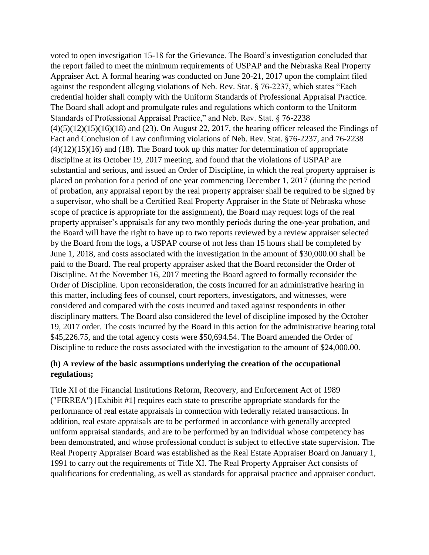voted to open investigation 15-18 for the Grievance. The Board's investigation concluded that the report failed to meet the minimum requirements of USPAP and the Nebraska Real Property Appraiser Act. A formal hearing was conducted on June 20-21, 2017 upon the complaint filed against the respondent alleging violations of Neb. Rev. Stat. § 76-2237, which states "Each credential holder shall comply with the Uniform Standards of Professional Appraisal Practice. The Board shall adopt and promulgate rules and regulations which conform to the Uniform Standards of Professional Appraisal Practice," and Neb. Rev. Stat. § 76-2238  $(4)(5)(12)(15)(16)(18)$  and  $(23)$ . On August 22, 2017, the hearing officer released the Findings of Fact and Conclusion of Law confirming violations of Neb. Rev. Stat. §76-2237, and 76-2238  $(4)(12)(15)(16)$  and  $(18)$ . The Board took up this matter for determination of appropriate discipline at its October 19, 2017 meeting, and found that the violations of USPAP are substantial and serious, and issued an Order of Discipline, in which the real property appraiser is placed on probation for a period of one year commencing December 1, 2017 (during the period of probation, any appraisal report by the real property appraiser shall be required to be signed by a supervisor, who shall be a Certified Real Property Appraiser in the State of Nebraska whose scope of practice is appropriate for the assignment), the Board may request logs of the real property appraiser's appraisals for any two monthly periods during the one-year probation, and the Board will have the right to have up to two reports reviewed by a review appraiser selected by the Board from the logs, a USPAP course of not less than 15 hours shall be completed by June 1, 2018, and costs associated with the investigation in the amount of \$30,000.00 shall be paid to the Board. The real property appraiser asked that the Board reconsider the Order of Discipline. At the November 16, 2017 meeting the Board agreed to formally reconsider the Order of Discipline. Upon reconsideration, the costs incurred for an administrative hearing in this matter, including fees of counsel, court reporters, investigators, and witnesses, were considered and compared with the costs incurred and taxed against respondents in other disciplinary matters. The Board also considered the level of discipline imposed by the October 19, 2017 order. The costs incurred by the Board in this action for the administrative hearing total \$45,226.75, and the total agency costs were \$50,694.54. The Board amended the Order of Discipline to reduce the costs associated with the investigation to the amount of \$24,000.00.

## **(h) A review of the basic assumptions underlying the creation of the occupational regulations;**

Title XI of the Financial Institutions Reform, Recovery, and Enforcement Act of 1989 ("FIRREA") [Exhibit #1] requires each state to prescribe appropriate standards for the performance of real estate appraisals in connection with federally related transactions. In addition, real estate appraisals are to be performed in accordance with generally accepted uniform appraisal standards, and are to be performed by an individual whose competency has been demonstrated, and whose professional conduct is subject to effective state supervision. The Real Property Appraiser Board was established as the Real Estate Appraiser Board on January 1, 1991 to carry out the requirements of Title XI. The Real Property Appraiser Act consists of qualifications for credentialing, as well as standards for appraisal practice and appraiser conduct.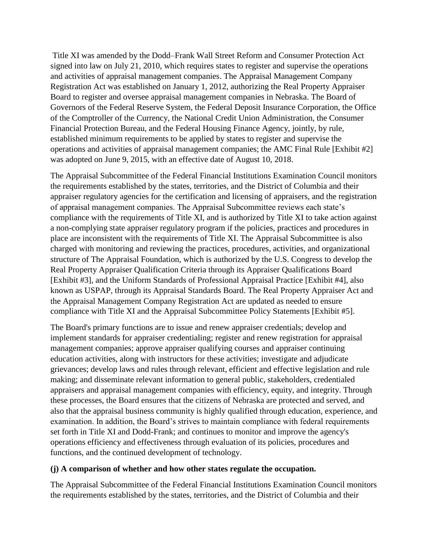Title XI was amended by the Dodd–Frank Wall Street Reform and Consumer Protection Act signed into law on July 21, 2010, which requires states to register and supervise the operations and activities of appraisal management companies. The Appraisal Management Company Registration Act was established on January 1, 2012, authorizing the Real Property Appraiser Board to register and oversee appraisal management companies in Nebraska. The Board of Governors of the Federal Reserve System, the Federal Deposit Insurance Corporation, the Office of the Comptroller of the Currency, the National Credit Union Administration, the Consumer Financial Protection Bureau, and the Federal Housing Finance Agency, jointly, by rule, established minimum requirements to be applied by states to register and supervise the operations and activities of appraisal management companies; the AMC Final Rule [Exhibit #2] was adopted on June 9, 2015, with an effective date of August 10, 2018.

The Appraisal Subcommittee of the Federal Financial Institutions Examination Council monitors the requirements established by the states, territories, and the District of Columbia and their appraiser regulatory agencies for the certification and licensing of appraisers, and the registration of appraisal management companies. The Appraisal Subcommittee reviews each state's compliance with the requirements of Title XI, and is authorized by Title XI to take action against a non-complying state appraiser regulatory program if the policies, practices and procedures in place are inconsistent with the requirements of Title XI. The Appraisal Subcommittee is also charged with monitoring and reviewing the practices, procedures, activities, and organizational structure of The Appraisal Foundation, which is authorized by the U.S. Congress to develop the Real Property Appraiser Qualification Criteria through its Appraiser Qualifications Board [Exhibit #3], and the Uniform Standards of Professional Appraisal Practice [Exhibit #4], also known as USPAP, through its Appraisal Standards Board. The Real Property Appraiser Act and the Appraisal Management Company Registration Act are updated as needed to ensure compliance with Title XI and the Appraisal Subcommittee Policy Statements [Exhibit #5].

The Board's primary functions are to issue and renew appraiser credentials; develop and implement standards for appraiser credentialing; register and renew registration for appraisal management companies; approve appraiser qualifying courses and appraiser continuing education activities, along with instructors for these activities; investigate and adjudicate grievances; develop laws and rules through relevant, efficient and effective legislation and rule making; and disseminate relevant information to general public, stakeholders, credentialed appraisers and appraisal management companies with efficiency, equity, and integrity. Through these processes, the Board ensures that the citizens of Nebraska are protected and served, and also that the appraisal business community is highly qualified through education, experience, and examination. In addition, the Board's strives to maintain compliance with federal requirements set forth in Title XI and Dodd-Frank; and continues to monitor and improve the agency's operations efficiency and effectiveness through evaluation of its policies, procedures and functions, and the continued development of technology.

### **(j) A comparison of whether and how other states regulate the occupation.**

The Appraisal Subcommittee of the Federal Financial Institutions Examination Council monitors the requirements established by the states, territories, and the District of Columbia and their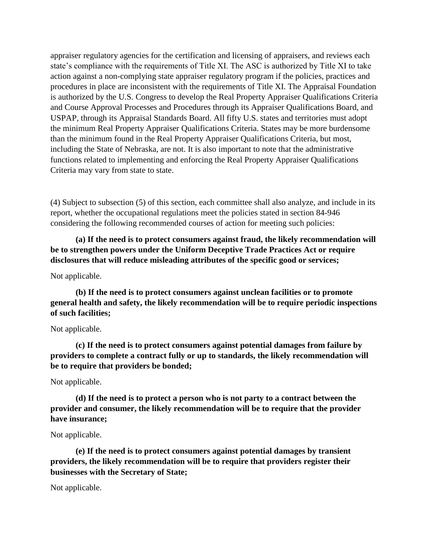appraiser regulatory agencies for the certification and licensing of appraisers, and reviews each state's compliance with the requirements of Title XI. The ASC is authorized by Title XI to take action against a non-complying state appraiser regulatory program if the policies, practices and procedures in place are inconsistent with the requirements of Title XI. The Appraisal Foundation is authorized by the U.S. Congress to develop the Real Property Appraiser Qualifications Criteria and Course Approval Processes and Procedures through its Appraiser Qualifications Board, and USPAP, through its Appraisal Standards Board. All fifty U.S. states and territories must adopt the minimum Real Property Appraiser Qualifications Criteria. States may be more burdensome than the minimum found in the Real Property Appraiser Qualifications Criteria, but most, including the State of Nebraska, are not. It is also important to note that the administrative functions related to implementing and enforcing the Real Property Appraiser Qualifications Criteria may vary from state to state.

(4) Subject to subsection (5) of this section, each committee shall also analyze, and include in its report, whether the occupational regulations meet the policies stated in section 84-946 considering the following recommended courses of action for meeting such policies:

**(a) If the need is to protect consumers against fraud, the likely recommendation will be to strengthen powers under the Uniform Deceptive Trade Practices Act or require disclosures that will reduce misleading attributes of the specific good or services;**

#### Not applicable.

**(b) If the need is to protect consumers against unclean facilities or to promote general health and safety, the likely recommendation will be to require periodic inspections of such facilities;**

#### Not applicable.

**(c) If the need is to protect consumers against potential damages from failure by providers to complete a contract fully or up to standards, the likely recommendation will be to require that providers be bonded;**

#### Not applicable.

**(d) If the need is to protect a person who is not party to a contract between the provider and consumer, the likely recommendation will be to require that the provider have insurance;**

#### Not applicable.

**(e) If the need is to protect consumers against potential damages by transient providers, the likely recommendation will be to require that providers register their businesses with the Secretary of State;**

Not applicable.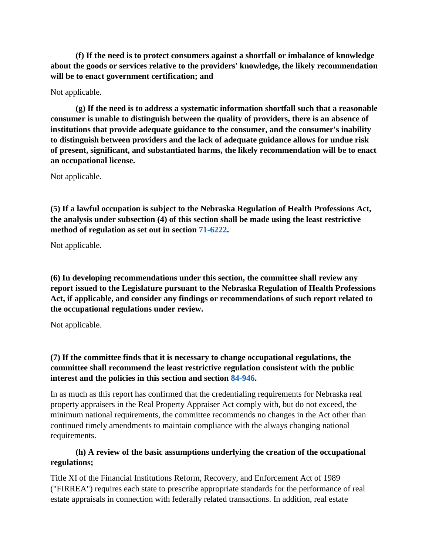**(f) If the need is to protect consumers against a shortfall or imbalance of knowledge about the goods or services relative to the providers' knowledge, the likely recommendation will be to enact government certification; and**

## Not applicable.

**(g) If the need is to address a systematic information shortfall such that a reasonable consumer is unable to distinguish between the quality of providers, there is an absence of institutions that provide adequate guidance to the consumer, and the consumer's inability to distinguish between providers and the lack of adequate guidance allows for undue risk of present, significant, and substantiated harms, the likely recommendation will be to enact an occupational license.**

Not applicable.

**(5) If a lawful occupation is subject to the Nebraska Regulation of Health Professions Act, the analysis under subsection (4) of this section shall be made using the least restrictive method of regulation as set out in section [71-6222.](https://nebraskalegislature.gov/laws/statutes.php?statute=71-6222)**

Not applicable.

**(6) In developing recommendations under this section, the committee shall review any report issued to the Legislature pursuant to the Nebraska Regulation of Health Professions Act, if applicable, and consider any findings or recommendations of such report related to the occupational regulations under review.**

Not applicable.

# **(7) If the committee finds that it is necessary to change occupational regulations, the committee shall recommend the least restrictive regulation consistent with the public interest and the policies in this section and section [84-946.](https://nebraskalegislature.gov/laws/statutes.php?statute=84-946)**

In as much as this report has confirmed that the credentialing requirements for Nebraska real property appraisers in the Real Property Appraiser Act comply with, but do not exceed, the minimum national requirements, the committee recommends no changes in the Act other than continued timely amendments to maintain compliance with the always changing national requirements.

# **(h) A review of the basic assumptions underlying the creation of the occupational regulations;**

Title XI of the Financial Institutions Reform, Recovery, and Enforcement Act of 1989 ("FIRREA") requires each state to prescribe appropriate standards for the performance of real estate appraisals in connection with federally related transactions. In addition, real estate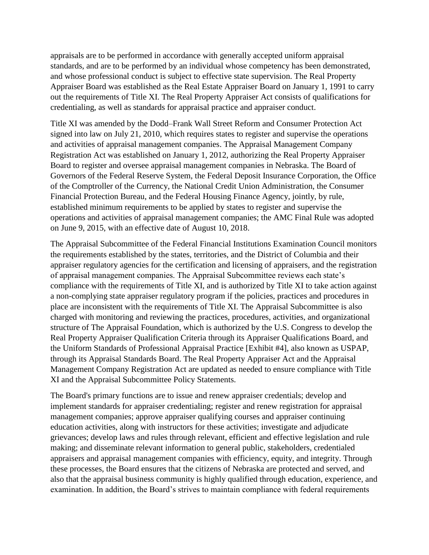appraisals are to be performed in accordance with generally accepted uniform appraisal standards, and are to be performed by an individual whose competency has been demonstrated, and whose professional conduct is subject to effective state supervision. The Real Property Appraiser Board was established as the Real Estate Appraiser Board on January 1, 1991 to carry out the requirements of Title XI. The Real Property Appraiser Act consists of qualifications for credentialing, as well as standards for appraisal practice and appraiser conduct.

Title XI was amended by the Dodd–Frank Wall Street Reform and Consumer Protection Act signed into law on July 21, 2010, which requires states to register and supervise the operations and activities of appraisal management companies. The Appraisal Management Company Registration Act was established on January 1, 2012, authorizing the Real Property Appraiser Board to register and oversee appraisal management companies in Nebraska. The Board of Governors of the Federal Reserve System, the Federal Deposit Insurance Corporation, the Office of the Comptroller of the Currency, the National Credit Union Administration, the Consumer Financial Protection Bureau, and the Federal Housing Finance Agency, jointly, by rule, established minimum requirements to be applied by states to register and supervise the operations and activities of appraisal management companies; the AMC Final Rule was adopted on June 9, 2015, with an effective date of August 10, 2018.

The Appraisal Subcommittee of the Federal Financial Institutions Examination Council monitors the requirements established by the states, territories, and the District of Columbia and their appraiser regulatory agencies for the certification and licensing of appraisers, and the registration of appraisal management companies. The Appraisal Subcommittee reviews each state's compliance with the requirements of Title XI, and is authorized by Title XI to take action against a non-complying state appraiser regulatory program if the policies, practices and procedures in place are inconsistent with the requirements of Title XI. The Appraisal Subcommittee is also charged with monitoring and reviewing the practices, procedures, activities, and organizational structure of The Appraisal Foundation, which is authorized by the U.S. Congress to develop the Real Property Appraiser Qualification Criteria through its Appraiser Qualifications Board, and the Uniform Standards of Professional Appraisal Practice [Exhibit #4], also known as USPAP, through its Appraisal Standards Board. The Real Property Appraiser Act and the Appraisal Management Company Registration Act are updated as needed to ensure compliance with Title XI and the Appraisal Subcommittee Policy Statements.

The Board's primary functions are to issue and renew appraiser credentials; develop and implement standards for appraiser credentialing; register and renew registration for appraisal management companies; approve appraiser qualifying courses and appraiser continuing education activities, along with instructors for these activities; investigate and adjudicate grievances; develop laws and rules through relevant, efficient and effective legislation and rule making; and disseminate relevant information to general public, stakeholders, credentialed appraisers and appraisal management companies with efficiency, equity, and integrity. Through these processes, the Board ensures that the citizens of Nebraska are protected and served, and also that the appraisal business community is highly qualified through education, experience, and examination. In addition, the Board's strives to maintain compliance with federal requirements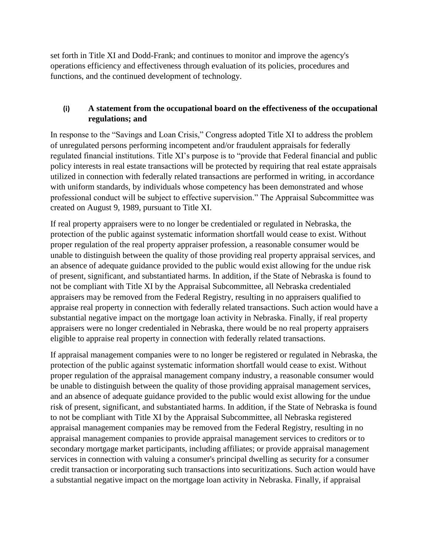set forth in Title XI and Dodd-Frank; and continues to monitor and improve the agency's operations efficiency and effectiveness through evaluation of its policies, procedures and functions, and the continued development of technology.

## **(i) A statement from the occupational board on the effectiveness of the occupational regulations; and**

In response to the "Savings and Loan Crisis," Congress adopted Title XI to address the problem of unregulated persons performing incompetent and/or fraudulent appraisals for federally regulated financial institutions. Title XI's purpose is to "provide that Federal financial and public policy interests in real estate transactions will be protected by requiring that real estate appraisals utilized in connection with federally related transactions are performed in writing, in accordance with uniform standards, by individuals whose competency has been demonstrated and whose professional conduct will be subject to effective supervision." The Appraisal Subcommittee was created on August 9, 1989, pursuant to Title XI.

If real property appraisers were to no longer be credentialed or regulated in Nebraska, the protection of the public against systematic information shortfall would cease to exist. Without proper regulation of the real property appraiser profession, a reasonable consumer would be unable to distinguish between the quality of those providing real property appraisal services, and an absence of adequate guidance provided to the public would exist allowing for the undue risk of present, significant, and substantiated harms. In addition, if the State of Nebraska is found to not be compliant with Title XI by the Appraisal Subcommittee, all Nebraska credentialed appraisers may be removed from the Federal Registry, resulting in no appraisers qualified to appraise real property in connection with federally related transactions. Such action would have a substantial negative impact on the mortgage loan activity in Nebraska. Finally, if real property appraisers were no longer credentialed in Nebraska, there would be no real property appraisers eligible to appraise real property in connection with federally related transactions.

If appraisal management companies were to no longer be registered or regulated in Nebraska, the protection of the public against systematic information shortfall would cease to exist. Without proper regulation of the appraisal management company industry, a reasonable consumer would be unable to distinguish between the quality of those providing appraisal management services, and an absence of adequate guidance provided to the public would exist allowing for the undue risk of present, significant, and substantiated harms. In addition, if the State of Nebraska is found to not be compliant with Title XI by the Appraisal Subcommittee, all Nebraska registered appraisal management companies may be removed from the Federal Registry, resulting in no appraisal management companies to provide appraisal management services to creditors or to secondary mortgage market participants, including affiliates; or provide appraisal management services in connection with valuing a consumer's principal dwelling as security for a consumer credit transaction or incorporating such transactions into securitizations. Such action would have a substantial negative impact on the mortgage loan activity in Nebraska. Finally, if appraisal